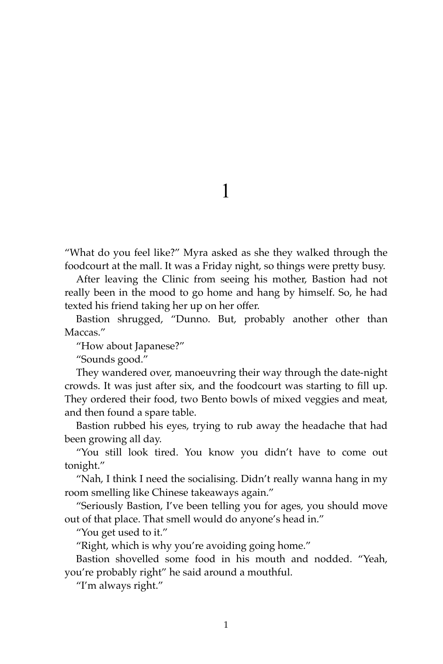1

"What do you feel like?" Myra asked as she they walked through the foodcourt at the mall. It was a Friday night, so things were pretty busy.

After leaving the Clinic from seeing his mother, Bastion had not really been in the mood to go home and hang by himself. So, he had texted his friend taking her up on her offer.

Bastion shrugged, "Dunno. But, probably another other than Maccas."

"How about Japanese?"

"Sounds good."

They wandered over, manoeuvring their way through the date-night crowds. It was just after six, and the foodcourt was starting to fill up. They ordered their food, two Bento bowls of mixed veggies and meat, and then found a spare table.

Bastion rubbed his eyes, trying to rub away the headache that had been growing all day.

"You still look tired. You know you didn't have to come out tonight."

"Nah, I think I need the socialising. Didn't really wanna hang in my room smelling like Chinese takeaways again."

"Seriously Bastion, I've been telling you for ages, you should move out of that place. That smell would do anyone's head in."

"You get used to it."

"Right, which is why you're avoiding going home."

Bastion shovelled some food in his mouth and nodded. "Yeah, you're probably right" he said around a mouthful.

"I'm always right."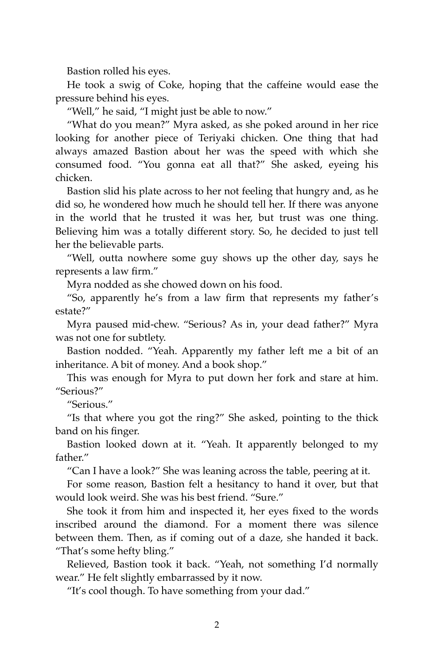Bastion rolled his eyes.

He took a swig of Coke, hoping that the caffeine would ease the pressure behind his eyes.

"Well," he said, "I might just be able to now."

"What do you mean?" Myra asked, as she poked around in her rice looking for another piece of Teriyaki chicken. One thing that had always amazed Bastion about her was the speed with which she consumed food. "You gonna eat all that?" She asked, eyeing his chicken.

Bastion slid his plate across to her not feeling that hungry and, as he did so, he wondered how much he should tell her. If there was anyone in the world that he trusted it was her, but trust was one thing. Believing him was a totally different story. So, he decided to just tell her the believable parts.

"Well, outta nowhere some guy shows up the other day, says he represents a law firm."

Myra nodded as she chowed down on his food.

"So, apparently he's from a law firm that represents my father's estate?"

Myra paused mid-chew. "Serious? As in, your dead father?" Myra was not one for subtlety.

Bastion nodded. "Yeah. Apparently my father left me a bit of an inheritance. A bit of money. And a book shop."

This was enough for Myra to put down her fork and stare at him. "Serious?"

"Serious."

"Is that where you got the ring?" She asked, pointing to the thick band on his finger.

Bastion looked down at it. "Yeah. It apparently belonged to my father."

"Can I have a look?" She was leaning across the table, peering at it.

For some reason, Bastion felt a hesitancy to hand it over, but that would look weird. She was his best friend. "Sure."

She took it from him and inspected it, her eyes fixed to the words inscribed around the diamond. For a moment there was silence between them. Then, as if coming out of a daze, she handed it back. "That's some hefty bling."

Relieved, Bastion took it back. "Yeah, not something I'd normally wear." He felt slightly embarrassed by it now.

"It's cool though. To have something from your dad."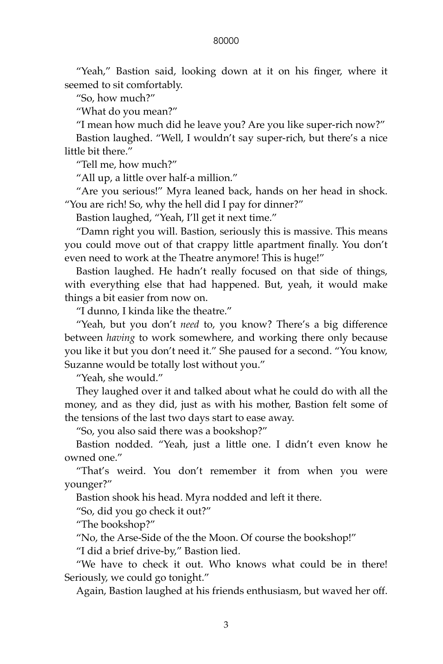## 80000

"Yeah," Bastion said, looking down at it on his finger, where it seemed to sit comfortably.

"So, how much?"

"What do you mean?"

"I mean how much did he leave you? Are you like super-rich now?"

Bastion laughed. "Well, I wouldn't say super-rich, but there's a nice little bit there."

"Tell me, how much?"

"All up, a little over half-a million."

"Are you serious!" Myra leaned back, hands on her head in shock. "You are rich! So, why the hell did I pay for dinner?"

Bastion laughed, "Yeah, I'll get it next time."

"Damn right you will. Bastion, seriously this is massive. This means you could move out of that crappy little apartment finally. You don't even need to work at the Theatre anymore! This is huge!"

Bastion laughed. He hadn't really focused on that side of things, with everything else that had happened. But, yeah, it would make things a bit easier from now on.

"I dunno, I kinda like the theatre."

"Yeah, but you don't *need* to, you know? There's a big difference between *having* to work somewhere, and working there only because you like it but you don't need it." She paused for a second. "You know, Suzanne would be totally lost without you."

"Yeah, she would."

They laughed over it and talked about what he could do with all the money, and as they did, just as with his mother, Bastion felt some of the tensions of the last two days start to ease away.

"So, you also said there was a bookshop?"

Bastion nodded. "Yeah, just a little one. I didn't even know he owned one."

"That's weird. You don't remember it from when you were younger?"

Bastion shook his head. Myra nodded and left it there.

"So, did you go check it out?"

"The bookshop?"

"No, the Arse-Side of the the Moon. Of course the bookshop!"

"I did a brief drive-by," Bastion lied.

"We have to check it out. Who knows what could be in there! Seriously, we could go tonight."

Again, Bastion laughed at his friends enthusiasm, but waved her off.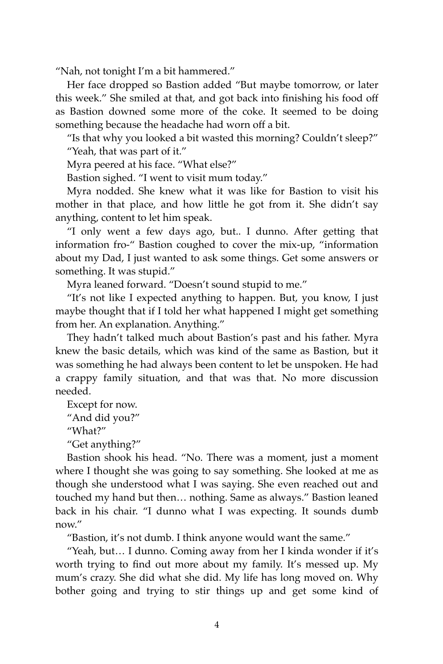"Nah, not tonight I'm a bit hammered."

Her face dropped so Bastion added "But maybe tomorrow, or later this week." She smiled at that, and got back into finishing his food off as Bastion downed some more of the coke. It seemed to be doing something because the headache had worn off a bit.

"Is that why you looked a bit wasted this morning? Couldn't sleep?" "Yeah, that was part of it."

Myra peered at his face. "What else?"

Bastion sighed. "I went to visit mum today."

Myra nodded. She knew what it was like for Bastion to visit his mother in that place, and how little he got from it. She didn't say anything, content to let him speak.

"I only went a few days ago, but.. I dunno. After getting that information fro-" Bastion coughed to cover the mix-up, "information about my Dad, I just wanted to ask some things. Get some answers or something. It was stupid."

Myra leaned forward. "Doesn't sound stupid to me."

"It's not like I expected anything to happen. But, you know, I just maybe thought that if I told her what happened I might get something from her. An explanation. Anything."

They hadn't talked much about Bastion's past and his father. Myra knew the basic details, which was kind of the same as Bastion, but it was something he had always been content to let be unspoken. He had a crappy family situation, and that was that. No more discussion needed.

Except for now.

"And did you?"

"What?"

"Get anything?"

Bastion shook his head. "No. There was a moment, just a moment where I thought she was going to say something. She looked at me as though she understood what I was saying. She even reached out and touched my hand but then… nothing. Same as always." Bastion leaned back in his chair. "I dunno what I was expecting. It sounds dumb now."

"Bastion, it's not dumb. I think anyone would want the same."

"Yeah, but… I dunno. Coming away from her I kinda wonder if it's worth trying to find out more about my family. It's messed up. My mum's crazy. She did what she did. My life has long moved on. Why bother going and trying to stir things up and get some kind of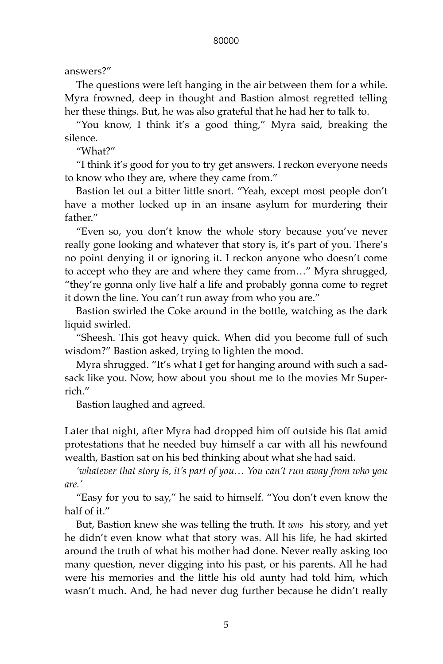answers?"

The questions were left hanging in the air between them for a while. Myra frowned, deep in thought and Bastion almost regretted telling her these things. But, he was also grateful that he had her to talk to.

"You know, I think it's a good thing," Myra said, breaking the silence.

"What?"

"I think it's good for you to try get answers. I reckon everyone needs to know who they are, where they came from."

Bastion let out a bitter little snort. "Yeah, except most people don't have a mother locked up in an insane asylum for murdering their father."

"Even so, you don't know the whole story because you've never really gone looking and whatever that story is, it's part of you. There's no point denying it or ignoring it. I reckon anyone who doesn't come to accept who they are and where they came from…" Myra shrugged, "they're gonna only live half a life and probably gonna come to regret it down the line. You can't run away from who you are."

Bastion swirled the Coke around in the bottle, watching as the dark liquid swirled.

"Sheesh. This got heavy quick. When did you become full of such wisdom?" Bastion asked, trying to lighten the mood.

Myra shrugged. "It's what I get for hanging around with such a sadsack like you. Now, how about you shout me to the movies Mr Superrich."

Bastion laughed and agreed.

Later that night, after Myra had dropped him off outside his flat amid protestations that he needed buy himself a car with all his newfound wealth, Bastion sat on his bed thinking about what she had said.

*'whatever that story is, it's part of you… You can't run away from who you are.'*

"Easy for you to say," he said to himself. "You don't even know the half of it."

But, Bastion knew she was telling the truth. It *was* his story, and yet he didn't even know what that story was. All his life, he had skirted around the truth of what his mother had done. Never really asking too many question, never digging into his past, or his parents. All he had were his memories and the little his old aunty had told him, which wasn't much. And, he had never dug further because he didn't really